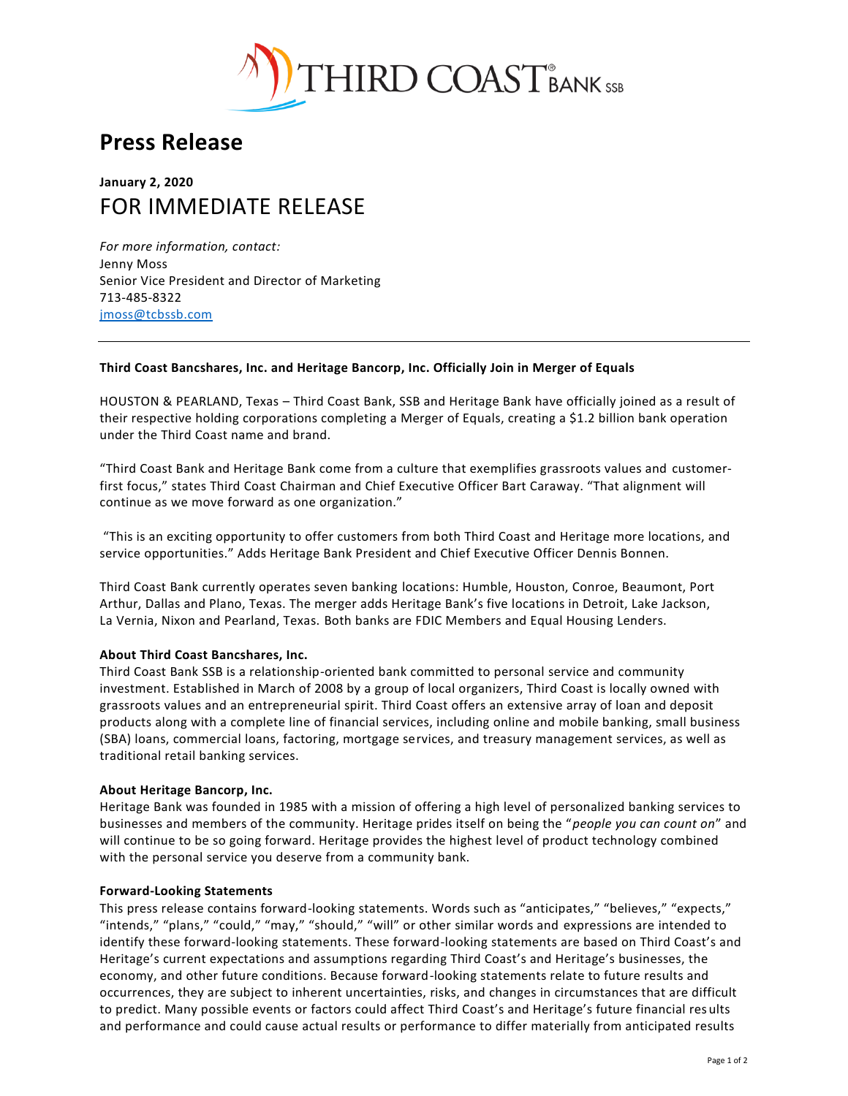

# **Press Release**

# **January 2, 2020** FOR IMMEDIATE RELEASE

*For more information, contact:* Jenny Moss Senior Vice President and Director of Marketing 713-485-8322 [jmoss@tcbssb.com](mailto:jmoss@tcbssb.com)

### **Third Coast Bancshares, Inc. and Heritage Bancorp, Inc. Officially Join in Merger of Equals**

HOUSTON & PEARLAND, Texas – Third Coast Bank, SSB and Heritage Bank have officially joined as a result of their respective holding corporations completing a Merger of Equals, creating a \$1.2 billion bank operation under the Third Coast name and brand.

"Third Coast Bank and Heritage Bank come from a culture that exemplifies grassroots values and customerfirst focus," states Third Coast Chairman and Chief Executive Officer Bart Caraway. "That alignment will continue as we move forward as one organization."

"This is an exciting opportunity to offer customers from both Third Coast and Heritage more locations, and service opportunities." Adds Heritage Bank President and Chief Executive Officer Dennis Bonnen.

Third Coast Bank currently operates seven banking locations: Humble, Houston, Conroe, Beaumont, Port Arthur, Dallas and Plano, Texas. The merger adds Heritage Bank's five locations in Detroit, Lake Jackson, La Vernia, Nixon and Pearland, Texas. Both banks are FDIC Members and Equal Housing Lenders.

# **About Third Coast Bancshares, Inc.**

Third Coast Bank SSB is a relationship-oriented bank committed to personal service and community investment. Established in March of 2008 by a group of local organizers, Third Coast is locally owned with grassroots values and an entrepreneurial spirit. Third Coast offers an extensive array of loan and deposit products along with a complete line of financial services, including online and mobile banking, small business (SBA) loans, commercial loans, factoring, mortgage services, and treasury management services, as well as traditional retail banking services.

### **About Heritage Bancorp, Inc.**

Heritage Bank was founded in 1985 with a mission of offering a high level of personalized banking services to businesses and members of the community. Heritage prides itself on being the "*people you can count on*" and will continue to be so going forward. Heritage provides the highest level of product technology combined with the personal service you deserve from a community bank.

### **Forward-Looking Statements**

This press release contains forward-looking statements. Words such as "anticipates," "believes," "expects," "intends," "plans," "could," "may," "should," "will" or other similar words and expressions are intended to identify these forward-looking statements. These forward-looking statements are based on Third Coast's and Heritage's current expectations and assumptions regarding Third Coast's and Heritage's businesses, the economy, and other future conditions. Because forward-looking statements relate to future results and occurrences, they are subject to inherent uncertainties, risks, and changes in circumstances that are difficult to predict. Many possible events or factors could affect Third Coast's and Heritage's future financial results and performance and could cause actual results or performance to differ materially from anticipated results